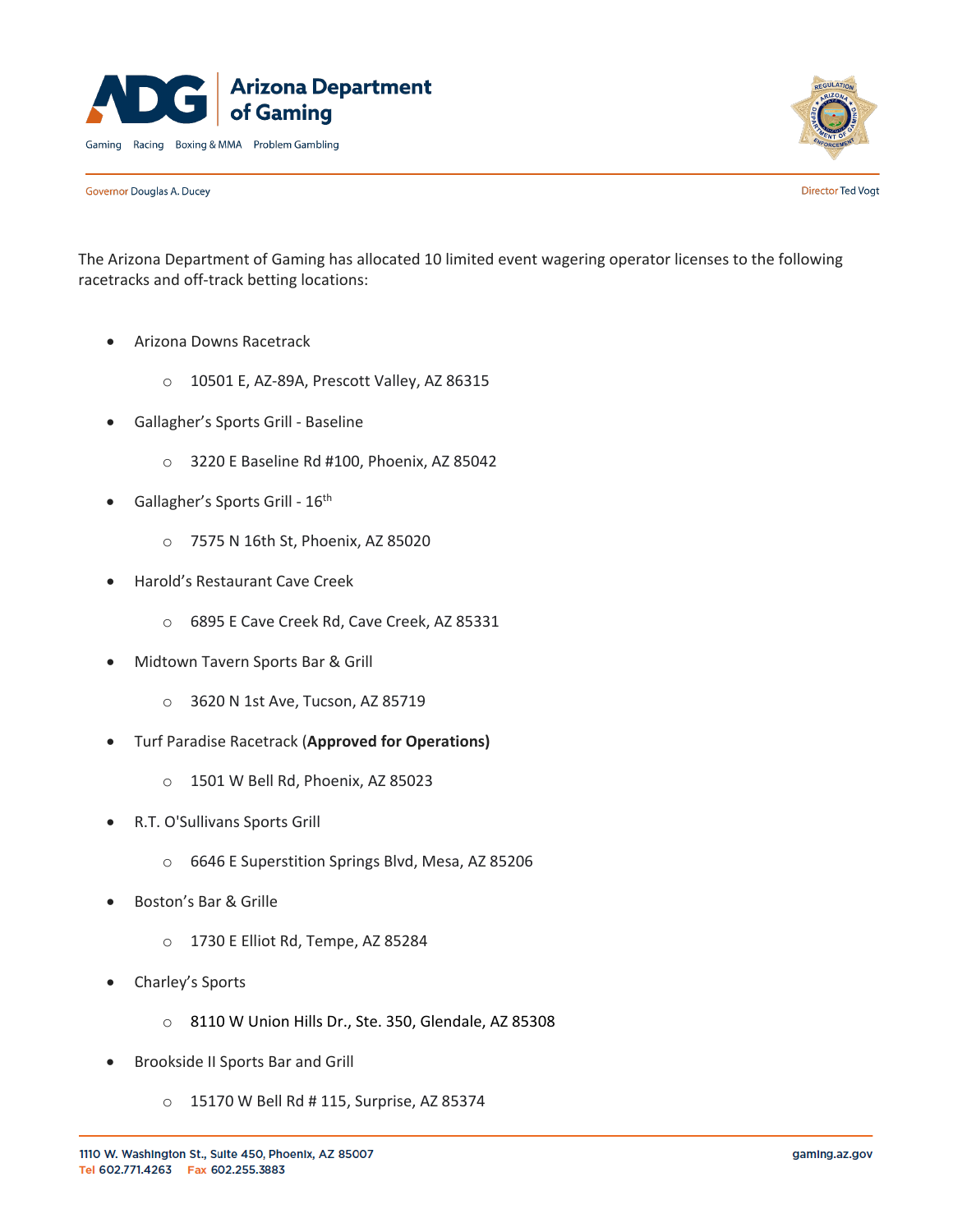



Governor Douglas A. Ducey

**Director Ted Vogt** 

The Arizona Department of Gaming has allocated 10 limited event wagering operator licenses to the following racetracks and off-track betting locations:

- Arizona Downs Racetrack
	- o 10501 E, AZ-89A, Prescott Valley, AZ 86315
- Gallagher's Sports Grill Baseline
	- o 3220 E Baseline Rd #100, Phoenix, AZ 85042
- Gallagher's Sports Grill  $16<sup>th</sup>$ 
	- o 7575 N 16th St, Phoenix, AZ 85020
- Harold's Restaurant Cave Creek
	- o 6895 E Cave Creek Rd, Cave Creek, AZ 85331
- Midtown Tavern Sports Bar & Grill
	- o 3620 N 1st Ave, Tucson, AZ 85719
- Turf Paradise Racetrack (**Approved for Operations)**
	- o 1501 W Bell Rd, Phoenix, AZ 85023
- R.T. O'Sullivans Sports Grill
	- o 6646 E Superstition Springs Blvd, Mesa, AZ 85206
- Boston's Bar & Grille
	- o 1730 E Elliot Rd, Tempe, AZ 85284
- Charley's Sports
	- o 8110 W Union Hills Dr., Ste. 350, Glendale, AZ 85308
- Brookside II Sports Bar and Grill
	- o 15170 W Bell Rd # 115, Surprise, AZ 85374